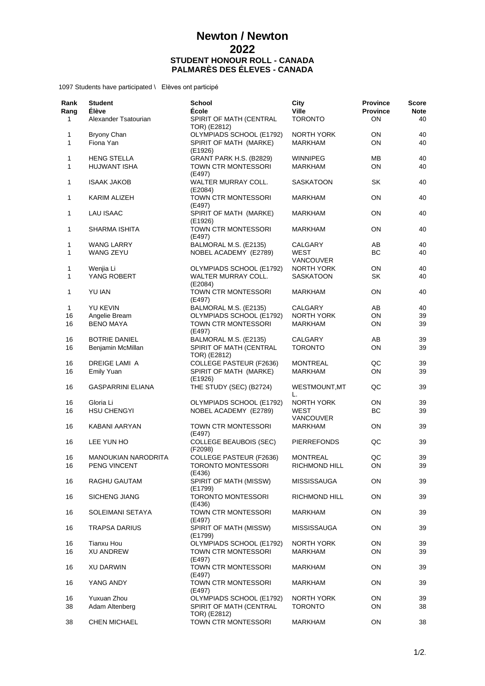## **Newton / Newton 2022 STUDENT HONOUR ROLL - CANADA PALMARÈS DES ÉLEVES - CANADA**

1097 Students have participated \ Elèves ont participé

| Rank<br>Rang<br>1 | <b>Student</b><br><b>Élève</b><br>Alexander Tsatourian | <b>School</b><br><b>École</b><br>SPIRIT OF MATH (CENTRAL | City<br><b>Ville</b><br><b>TORONTO</b> | <b>Province</b><br><b>Province</b><br><b>ON</b> | Score<br><b>Note</b><br>40 |
|-------------------|--------------------------------------------------------|----------------------------------------------------------|----------------------------------------|-------------------------------------------------|----------------------------|
|                   |                                                        | TOR) (E2812)                                             |                                        |                                                 |                            |
| 1<br>1            | Bryony Chan<br>Fiona Yan                               | OLYMPIADS SCHOOL (E1792)<br>SPIRIT OF MATH (MARKE)       | NORTH YORK<br>MARKHAM                  | ON<br>ON                                        | 40<br>40                   |
| 1                 | <b>HENG STELLA</b>                                     | (E1926)<br>GRANT PARK H.S. (B2829)                       | <b>WINNIPEG</b>                        | MВ                                              | 40                         |
| 1                 | HUJWANT ISHA                                           | TOWN CTR MONTESSORI<br>(E497)                            | MARKHAM                                | ON                                              | 40                         |
| 1                 | <b>ISAAK JAKOB</b>                                     | WALTER MURRAY COLL.<br>(E2084)                           | SASKATOON                              | SK                                              | 40                         |
| 1                 | KARIM ALIZEH                                           | TOWN CTR MONTESSORI<br>(E497)                            | <b>MARKHAM</b>                         | ON                                              | 40                         |
| 1                 | <b>LAU ISAAC</b>                                       | SPIRIT OF MATH (MARKE)<br>(E1926)                        | <b>MARKHAM</b>                         | ON                                              | 40                         |
| 1                 | SHARMA ISHITA                                          | TOWN CTR MONTESSORI<br>(E497)                            | MARKHAM                                | ON                                              | 40                         |
| 1                 | WANG LARRY                                             | BALMORAL M.S. (E2135)                                    | CALGARY                                | AB                                              | 40                         |
| 1                 | WANG ZEYU                                              | NOBEL ACADEMY (E2789)                                    | WEST                                   | BC                                              | 40                         |
|                   |                                                        |                                                          | <b>VANCOUVER</b>                       |                                                 |                            |
| 1<br>1            | Wenjia Li<br>YANG ROBERT                               | OLYMPIADS SCHOOL (E1792)<br>WALTER MURRAY COLL.          | <b>NORTH YORK</b><br>SASKATOON         | ON<br>SK                                        | 40<br>40                   |
| 1                 | YU IAN                                                 | (E2084)<br>TOWN CTR MONTESSORI                           | <b>MARKHAM</b>                         | ON                                              | 40                         |
|                   |                                                        | (E497)                                                   |                                        |                                                 |                            |
| 1                 | YU KEVIN                                               | BALMORAL M.S. (E2135)                                    | CALGARY                                | AB                                              | 40                         |
| 16                | Angelie Bream                                          | OLYMPIADS SCHOOL (E1792)                                 | <b>NORTH YORK</b>                      | ON                                              | 39                         |
| 16                | <b>BENO MAYA</b>                                       | TOWN CTR MONTESSORI<br>(E497)                            | <b>MARKHAM</b>                         | <b>ON</b>                                       | 39                         |
| 16                | <b>BOTRIE DANIEL</b>                                   | BALMORAL M.S. (E2135)                                    | CALGARY                                | AB                                              | 39                         |
| 16                | Benjamin McMillan                                      | SPIRIT OF MATH (CENTRAL<br>TOR) (E2812)                  | <b>TORONTO</b>                         | ON                                              | 39                         |
| 16                | DREIGE LAMI A                                          | COLLEGE PASTEUR (F2636)                                  | <b>MONTREAL</b>                        | QC                                              | 39                         |
| 16                | <b>Emily Yuan</b>                                      | SPIRIT OF MATH (MARKE)<br>(E1926)                        | <b>MARKHAM</b>                         | ON                                              | 39                         |
| 16                | <b>GASPARRINI ELIANA</b>                               | THE STUDY (SEC) (B2724)                                  | WESTMOUNT, MT<br>L.                    | QC                                              | 39                         |
| 16                | Gloria Li                                              | OLYMPIADS SCHOOL (E1792)                                 | NORTH YORK                             | ON                                              | 39                         |
| 16                | <b>HSU CHENGYI</b>                                     | NOBEL ACADEMY (E2789)                                    | <b>WEST</b>                            | ВC                                              | 39                         |
| 16                | KABANI AARYAN                                          | TOWN CTR MONTESSORI<br>(E497)                            | VANCOUVER<br><b>MARKHAM</b>            | ON                                              | 39                         |
| 16                | LEE YUN HO                                             | <b>COLLEGE BEAUBOIS (SEC)</b><br>(F2098)                 | <b>PIERREFONDS</b>                     | QC                                              | 39                         |
| 16                | <b>MANOUKIAN NARODRITA</b>                             | <b>COLLEGE PASTEUR (F2636)</b>                           | <b>MONTREAL</b>                        | QC                                              | 39                         |
| 16                | PENG VINCENT                                           | <b>TORONTO MONTESSORI</b><br>(E436)                      | <b>RICHMOND HILL</b>                   | ON                                              | 39                         |
| 16                | RAGHU GAUTAM                                           | <b>SPIRIT OF MATH (MISSW)</b><br>(E1799)                 | <b>MISSISSAUGA</b>                     | ON                                              | 39                         |
| 16                | <b>SICHENG JIANG</b>                                   | TORONTO MONTESSORI<br>(E436)                             | RICHMOND HILL                          | ON                                              | 39                         |
| 16                | SOLEIMANI SETAYA                                       | TOWN CTR MONTESSORI<br>(E497)                            | MARKHAM                                | ON                                              | 39                         |
| 16                | TRAPSA DARIUS                                          | SPIRIT OF MATH (MISSW)<br>(E1799)                        | <b>MISSISSAUGA</b>                     | ON                                              | 39                         |
| 16                | <b>Tianxu Hou</b>                                      | OLYMPIADS SCHOOL (E1792)                                 | NORTH YORK                             | ON                                              | 39                         |
| 16                | <b>XU ANDREW</b>                                       | TOWN CTR MONTESSORI<br>(E497)                            | <b>MARKHAM</b>                         | ON                                              | 39                         |
| 16                | XU DARWIN                                              | TOWN CTR MONTESSORI<br>(E497)                            | MARKHAM                                | ON                                              | 39                         |
| 16                | YANG ANDY                                              | TOWN CTR MONTESSORI<br>(E497)                            | <b>MARKHAM</b>                         | ON                                              | 39                         |
| 16<br>38          | Yuxuan Zhou<br>Adam Altenberg                          | OLYMPIADS SCHOOL (E1792)<br>SPIRIT OF MATH (CENTRAL      | <b>NORTH YORK</b><br><b>TORONTO</b>    | ON<br>ON                                        | 39<br>38                   |
| 38                | CHEN MICHAEL                                           | TOR) (E2812)<br>TOWN CTR MONTESSORI                      | <b>MARKHAM</b>                         | ON                                              | 38                         |